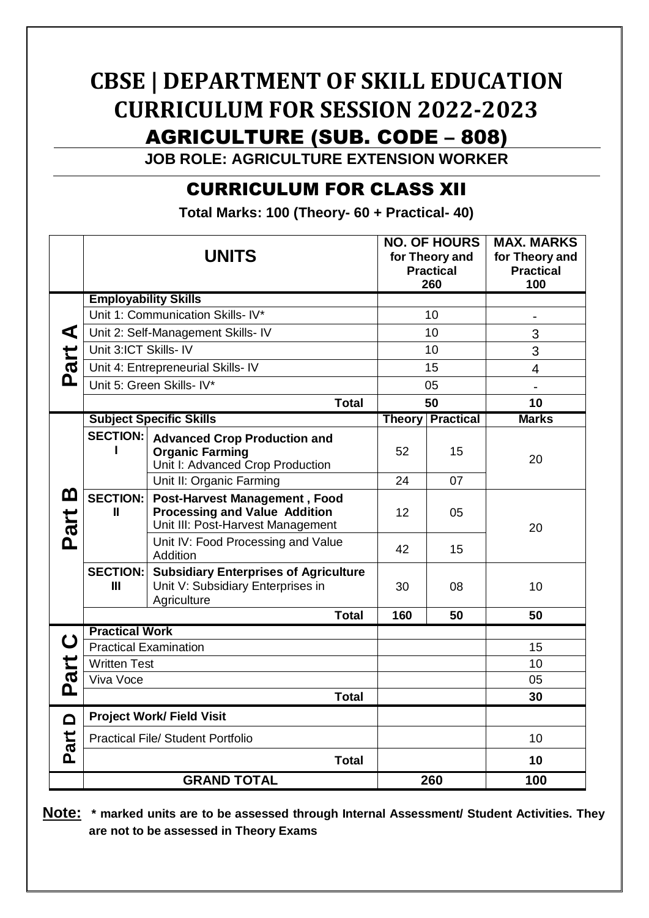# **CBSE | DEPARTMENT OF SKILL EDUCATION CURRICULUM FOR SESSION 2022-2023** AGRICULTURE (SUB. CODE – 808)

**JOB ROLE: AGRICULTURE EXTENSION WORKER**

## CURRICULUM FOR CLASS XII

**Total Marks: 100 (Theory- 60 + Practical- 40)**

|                | <b>UNITS</b>                             |                                                                                                                   | <b>NO. OF HOURS</b><br>for Theory and<br><b>Practical</b><br>260 |                         | <b>MAX. MARKS</b><br>for Theory and<br><b>Practical</b><br>100 |
|----------------|------------------------------------------|-------------------------------------------------------------------------------------------------------------------|------------------------------------------------------------------|-------------------------|----------------------------------------------------------------|
| ⋖<br>art       | <b>Employability Skills</b>              |                                                                                                                   |                                                                  |                         |                                                                |
|                | Unit 1: Communication Skills- IV*        |                                                                                                                   | 10                                                               |                         |                                                                |
|                | Unit 2: Self-Management Skills- IV       |                                                                                                                   | 10                                                               |                         | 3                                                              |
|                | Unit 3:ICT Skills- IV                    |                                                                                                                   | 10                                                               |                         | 3                                                              |
|                | Unit 4: Entrepreneurial Skills- IV       |                                                                                                                   | 15                                                               |                         | $\overline{4}$                                                 |
| <u>ը</u>       | Unit 5: Green Skills- IV*                |                                                                                                                   | 05                                                               |                         | $\overline{a}$                                                 |
|                | <b>Total</b>                             |                                                                                                                   | 50                                                               |                         | 10                                                             |
| മ<br>Part      | <b>Subject Specific Skills</b>           |                                                                                                                   |                                                                  | <b>Theory Practical</b> | <b>Marks</b>                                                   |
|                | <b>SECTION:</b>                          | <b>Advanced Crop Production and</b><br><b>Organic Farming</b><br>Unit I: Advanced Crop Production                 | 52                                                               | 15                      | 20                                                             |
|                |                                          | Unit II: Organic Farming                                                                                          | 24                                                               | 07                      |                                                                |
|                | <b>SECTION:</b><br>Ш                     | <b>Post-Harvest Management, Food</b><br><b>Processing and Value Addition</b><br>Unit III: Post-Harvest Management | 12                                                               | 05                      | 20                                                             |
|                |                                          | Unit IV: Food Processing and Value<br>Addition                                                                    | 42                                                               | 15                      |                                                                |
|                | <b>SECTION:</b><br>Ш                     | <b>Subsidiary Enterprises of Agriculture</b><br>Unit V: Subsidiary Enterprises in<br>Agriculture                  | 30                                                               | 08                      | 10                                                             |
|                | Total                                    |                                                                                                                   | 160                                                              | 50                      | 50                                                             |
| ပ<br>art<br>Ը  | <b>Practical Work</b>                    |                                                                                                                   |                                                                  |                         |                                                                |
|                | <b>Practical Examination</b>             |                                                                                                                   |                                                                  |                         | 15                                                             |
|                | <b>Written Test</b>                      |                                                                                                                   |                                                                  |                         | 10                                                             |
|                | Viva Voce                                |                                                                                                                   |                                                                  |                         | 05                                                             |
|                | <b>Total</b>                             |                                                                                                                   |                                                                  |                         | 30                                                             |
| $\Box$<br>Part | <b>Project Work/ Field Visit</b>         |                                                                                                                   |                                                                  |                         |                                                                |
|                | <b>Practical File/ Student Portfolio</b> |                                                                                                                   |                                                                  |                         | 10                                                             |
|                | <b>Total</b>                             |                                                                                                                   |                                                                  |                         | 10                                                             |
|                |                                          | <b>GRAND TOTAL</b>                                                                                                |                                                                  | 260                     | 100                                                            |

**Note: \* marked units are to be assessed through Internal Assessment/ Student Activities. They are not to be assessed in Theory Exams**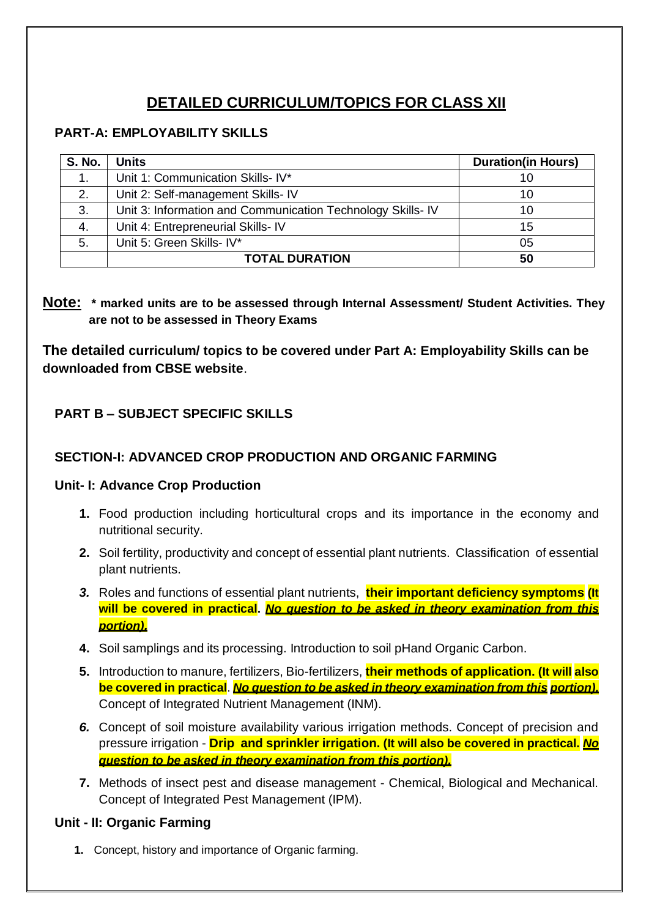# **DETAILED CURRICULUM/TOPICS FOR CLASS XII**

#### **PART-A: EMPLOYABILITY SKILLS**

| <b>S. No.</b> | Units                                                       | <b>Duration(in Hours)</b> |
|---------------|-------------------------------------------------------------|---------------------------|
|               | Unit 1: Communication Skills- IV*                           | 10                        |
| 2.            | Unit 2: Self-management Skills- IV                          | 10                        |
| 3.            | Unit 3: Information and Communication Technology Skills- IV | 10                        |
| 4.            | Unit 4: Entrepreneurial Skills- IV                          | 15                        |
| 5.            | Unit 5: Green Skills- IV*                                   | 05                        |
|               | <b>TOTAL DURATION</b>                                       | 50                        |

#### **Note: \* marked units are to be assessed through Internal Assessment/ Student Activities. They are not to be assessed in Theory Exams**

**The detailed curriculum/ topics to be covered under Part A: Employability Skills can be downloaded from CBSE website**.

## **PART B – SUBJECT SPECIFIC SKILLS**

#### **SECTION-I: ADVANCED CROP PRODUCTION AND ORGANIC FARMING**

#### **Unit- I: Advance Crop Production**

- **1.** Food production including horticultural crops and its importance in the economy and nutritional security.
- **2.** Soil fertility, productivity and concept of essential plant nutrients. Classification of essential plant nutrients.
- *3.* Roles and functions of essential plant nutrients, **their important deficiency symptoms (It will be covered in practical.** *No question to be asked in theory examination from this portion).*
- **4.** Soil samplings and its processing. Introduction to soil pHand Organic Carbon.
- **5.** Introduction to manure, fertilizers, Bio-fertilizers, **their methods of application. (It will also be covered in practical**. *No question to be asked in theory examination from this portion).* Concept of Integrated Nutrient Management (INM).
- *6.* Concept of soil moisture availability various irrigation methods. Concept of precision and pressure irrigation - **Drip and sprinkler irrigation. (It will also be covered in practical.** *No question to be asked in theory examination from this portion).*
- **7.** Methods of insect pest and disease management Chemical, Biological and Mechanical. Concept of Integrated Pest Management (IPM).

#### **Unit - II: Organic Farming**

**1.** Concept, history and importance of Organic farming.